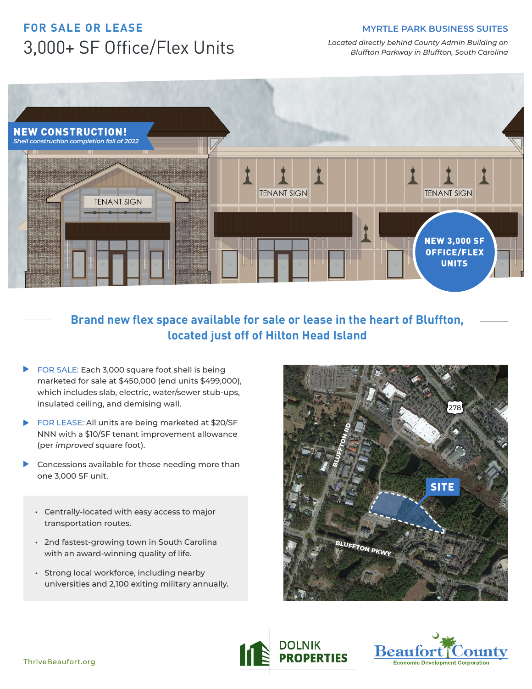#### **MYRTLE PARK BUSINESS SUITES**

# **FOR SALE OR LEASE** 3,000+ SF Office/Flex Units

*Located directly behind County Admin Building on Bluffton Parkway in Bluffton, South Carolina*



### **Brand new flex space available for sale or lease in the heart of Bluffton, located just off of Hilton Head Island**

- ▶ FOR SALE: Each 3,000 square foot shell is being marketed for sale at \$450,000 (end units \$499,000), which includes slab, electric, water/sewer stub-ups, insulated ceiling, and demising wall.
- ▶ FOR LEASE: All units are being marketed at \$20/SF NNN with a \$10/SF tenant improvement allowance (per *improved* square foot).
- Concessions available for those needing more than ь one 3,000 SF unit.
	- **•** Centrally-located with easy access to major transportation routes.
	- **•** 2nd fastest-growing town in South Carolina with an award-winning quality of life.
	- **•** Strong local workforce, including nearby universities and 2,100 exiting military annually.